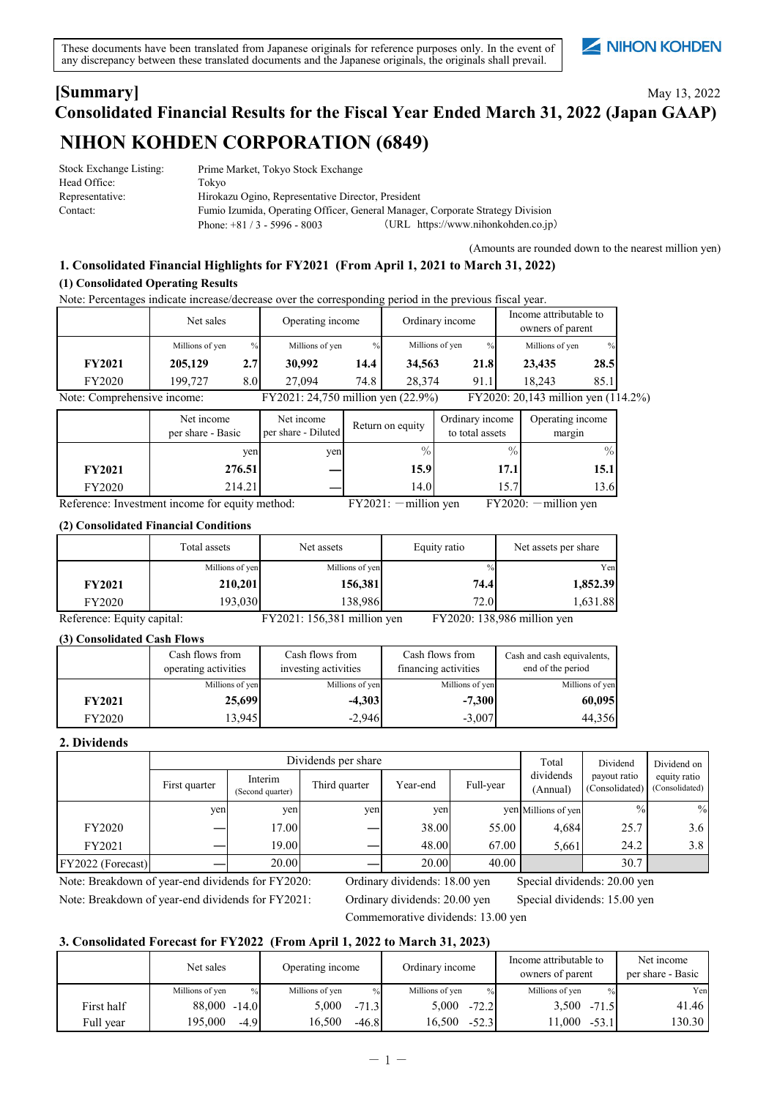These documents have been translated from Japanese originals for reference purposes only. In the event of any discrepancy between these translated documents and the Japanese originals, the originals shall prevail.

# NIHON KOHDEN

## May 13, 2022 **[Summary] Consolidated Financial Results for the Fiscal Year Ended March 31, 2022 (Japan GAAP) NIHON KOHDEN CORPORATION (6849)**

| Stock Exchange Listing: | Prime Market, Tokyo Stock Exchange                                             |                                     |  |
|-------------------------|--------------------------------------------------------------------------------|-------------------------------------|--|
| Head Office:            | Tokvo                                                                          |                                     |  |
| Representative:         | Hirokazu Ogino, Representative Director, President                             |                                     |  |
| Contact:                | Fumio Izumida, Operating Officer, General Manager, Corporate Strategy Division |                                     |  |
|                         | Phone: $+81/3 - 5996 - 8003$                                                   | (URL https://www.nihonkohden.co.jp) |  |

(Amounts are rounded down to the nearest million yen)

## **(1) Consolidated Operating Results 1. Consolidated Financial Highlights for FY2021 (From April 1, 2021 to March 31, 2022)**

Note: Percentages indicate increase/decrease over the corresponding period in the previous fiscal year.

|                             | Net sales       |                  | Operating income                   |      | Ordinary income |               | Income attributable to<br>owners of parent |               |  |
|-----------------------------|-----------------|------------------|------------------------------------|------|-----------------|---------------|--------------------------------------------|---------------|--|
|                             | Millions of yen | $\frac{0}{0}$    | Millions of yen                    | $\%$ | Millions of yen | $\frac{0}{0}$ | Millions of yen                            | $\frac{9}{6}$ |  |
| <b>FY2021</b>               | 205,129         | 2.7 <sub>1</sub> | 30,992                             | 14.4 | 34.563          | 21.8          | 23,435                                     | 28.5          |  |
| <b>FY2020</b>               | 199,727         | 8.0              | 27.094                             | 74.8 | 28.374          | 91.1          | 18.243                                     | 85.1          |  |
| Note: Comprehensive income: |                 |                  | FY2021: 24,750 million yen (22.9%) |      |                 |               | FY2020: 20,143 million yen (114.2%)        |               |  |

|               | Net income<br>per share - Basic | Net income<br>per share - Diluted | Return on equity | Ordinary income<br>to total assets | Operating income<br>margin |
|---------------|---------------------------------|-----------------------------------|------------------|------------------------------------|----------------------------|
|               | ven                             | yen                               | $\%$             | $\%$                               | $\%$                       |
| <b>FY2021</b> | 276.51                          |                                   | 15.91            | 17.1                               | 15.1                       |
| FY2020        | 214.21                          |                                   | 14.0             | 15.7                               | 13.6                       |

Reference: Investment income for equity method: FY2021: - million yen FY2020: - million yen

#### **(2) Consolidated Financial Conditions**

|                            | Total assets    | Net assets                  | Equity ratio  | Net assets per share        |
|----------------------------|-----------------|-----------------------------|---------------|-----------------------------|
|                            | Millions of yen | Millions of yen             | $\frac{0}{0}$ | Yen                         |
| <b>FY2021</b>              | 210,201         | 156,381                     | 74.4          | 1,852.39                    |
| FY2020                     | 193,030         | 138,986                     | 72.0          | 1,631.88                    |
| Reference: Equity capital: |                 | FY2021: 156,381 million yen |               | FY2020: 138,986 million yen |

**(3) Consolidated Cash Flows FY2021** FY2020 13,945 -2,946 -3,007 **60,095** 44,356 Millions of yen Cash flows from operating activities **-4,303** Cash flows from financing activities Cash and cash equivalents, end of the period Millions of yen Millions of yen Millions of yen Cash flows from investing activities **-7,300 25,699**

#### **2. Dividends**

|                     |               | Dividends per share         |               |          |           |                       | Dividend                       | Dividend on                    |
|---------------------|---------------|-----------------------------|---------------|----------|-----------|-----------------------|--------------------------------|--------------------------------|
|                     | First quarter | Interim<br>(Second quarter) | Third quarter | Year-end | Full-year | dividends<br>(Annual) | payout ratio<br>(Consolidated) | equity ratio<br>(Consolidated) |
|                     | yen           | yen                         | yen           | yen      |           | yen Millions of yen   | $\frac{0}{0}$                  | $\%$                           |
| <b>FY2020</b>       |               | 17.00                       |               | 38.00    | 55.00     | 4,684                 | 25.7                           | 3.6 <sub>1</sub>               |
| FY2021              |               | 19.00                       |               | 48.00    | 67.00     | 5.661                 | 24.2                           | 3.8                            |
| [FY2022 (Forecast)] |               | 20.00                       |               | 20.00    | 40.00     |                       | 30.7                           |                                |

Note: Breakdown of year-end dividends for FY2020: Ordinary dividends: 18.00 yen Special dividends: 20.00 yen Note: Breakdown of year-end dividends for FY2021: Ordinary dividends: 20.00 yen Special dividends: 15.00 yen

Commemorative dividends: 13.00 yen

#### **3. Consolidated Forecast for FY2022 (From April 1, 2022 to March 31, 2023)**

|            | Net sales                        | Operating income        | Ordinary income         | Income attributable to<br>owners of parent | Net income<br>per share - Basic |
|------------|----------------------------------|-------------------------|-------------------------|--------------------------------------------|---------------------------------|
|            | Millions of yen<br>$\frac{0}{0}$ | Millions of yen<br>$\%$ | Millions of ven<br>$\%$ | Millions of yen<br>$\%$                    | Yen                             |
| First half | $88,000 -14.0$                   | 5.000<br>$-71.3$        | 5.000<br>$-72.2$        | 3,500<br>$-71.5$                           | 41.46                           |
| Full year  | 195.000<br>$-4.9$                | 16.500<br>$-46.8$       | 16.500<br>$-52.3$       | 1.000<br>$-53.1$                           | 130.30                          |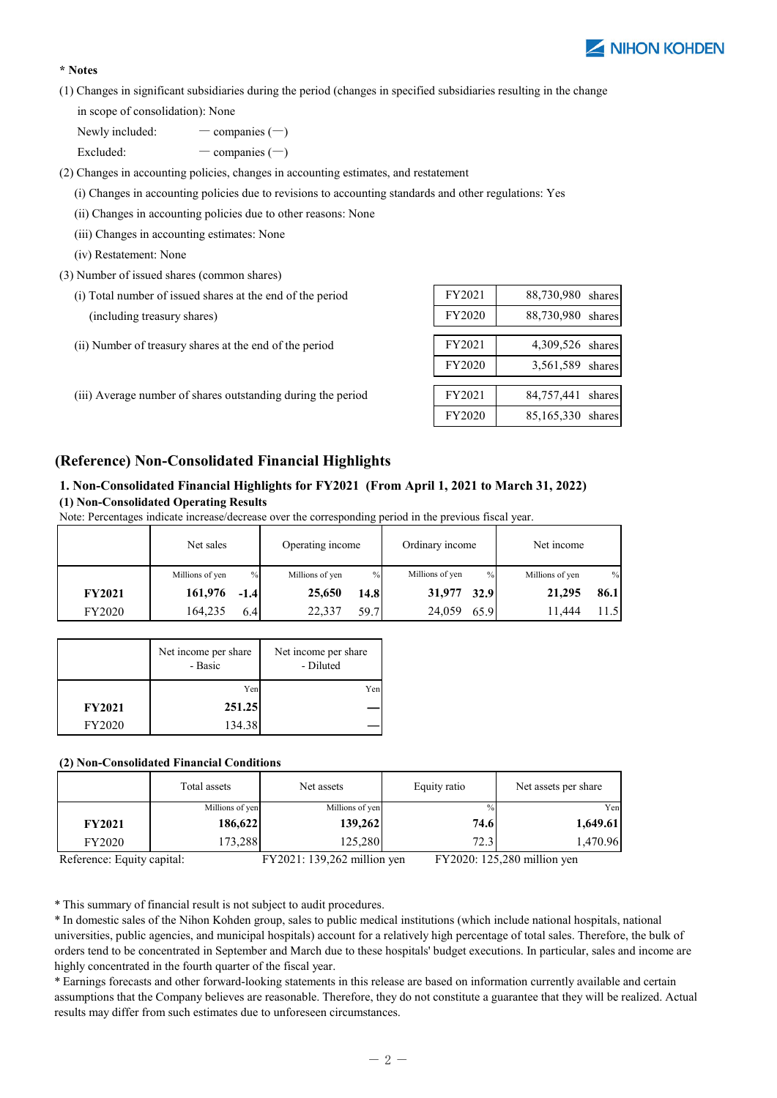

## **\* Notes**

(1) Changes in significant subsidiaries during the period (changes in specified subsidiaries resulting in the change

in scope of consolidation): None

Newly included:  $-\text{ companies } (-)$ 

Excluded: — companies  $(-)$ 

(2) Changes in accounting policies, changes in accounting estimates, and restatement

(i) Changes in accounting policies due to revisions to accounting standards and other regulations: Yes

- (ii) Changes in accounting policies due to other reasons: None
- (iii) Changes in accounting estimates: None
- (iv) Restatement: None
- (3) Number of issued shares (common shares)
	- $(i)$  Total number of issued shares at the end of the period (including treasury shares)
	- (ii) Number of treasury shares at the end of the period
	- (iii) Average number of shares outstanding during the period

| FY2021 | 88,730,980<br>shares |
|--------|----------------------|
| FY2020 | 88,730,980 shares    |
|        |                      |
| FY2021 | 4,309,526 shares     |
| FY2020 | 3,561,589 shares     |
|        |                      |
| FY2021 | 84,757,441<br>shares |
| FY2020 | 85,165,330<br>shares |

## **(Reference) Non-Consolidated Financial Highlights**

## **1. Non-Consolidated Financial Highlights for FY2021 (From April 1, 2021 to March 31, 2022) (1) Non-Consolidated Operating Results**

| Note: Percentages indicate increase/decrease over the corresponding period in the previous fiscal year. |  |  |
|---------------------------------------------------------------------------------------------------------|--|--|
|                                                                                                         |  |  |

|               | Net sales       |        | Operating income |      | Ordinary income |      | Net income      |      |
|---------------|-----------------|--------|------------------|------|-----------------|------|-----------------|------|
|               | Millions of yen | $\%$   | Millions of yen  | $\%$ | Millions of yen | $\%$ | Millions of yen | $\%$ |
| <b>FY2021</b> | 161,976         | $-1.4$ | 25,650           | 14.8 | 31,977          | 32.9 | 21,295          | 86.1 |
| <b>FY2020</b> | 164,235         | 6.4    | 22,337           | 59.7 | 24,059          | 65.9 | 11.444          |      |

|               | Net income per share<br>- Basic | Net income per share<br>- Diluted |
|---------------|---------------------------------|-----------------------------------|
|               | Yen                             | Yen                               |
| <b>FY2021</b> | 251.25                          |                                   |
| FY2020        | 134.38                          |                                   |

#### **(2) Non-Consolidated Financial Conditions**

|               | Total assets    | Net assets      | Equity ratio | Net assets per share |
|---------------|-----------------|-----------------|--------------|----------------------|
|               | Millions of yen | Millions of yen | $\%$         | Yen                  |
| <b>FY2021</b> | 186,622         | 139,262         | 74.6         | 1,649.61             |
| <b>FY2020</b> | 173,288         | 125,280         | 72.3         | 1,470.96             |

| Reference: Equity capital: | $FY2021: 139.262$ million ven | FY2020: 125.280 million ven |
|----------------------------|-------------------------------|-----------------------------|
|----------------------------|-------------------------------|-----------------------------|

\* This summary of financial result is not subject to audit procedures.

\* In domestic sales of the Nihon Kohden group, sales to public medical institutions (which include national hospitals, national universities, public agencies, and municipal hospitals) account for a relatively high percentage of total sales. Therefore, the bulk of orders tend to be concentrated in September and March due to these hospitals' budget executions. In particular, sales and income are highly concentrated in the fourth quarter of the fiscal year.

\* Earnings forecasts and other forward-looking statements in this release are based on information currently available and certain assumptions that the Company believes are reasonable. Therefore, they do not constitute a guarantee that they will be realized. Actual results may differ from such estimates due to unforeseen circumstances.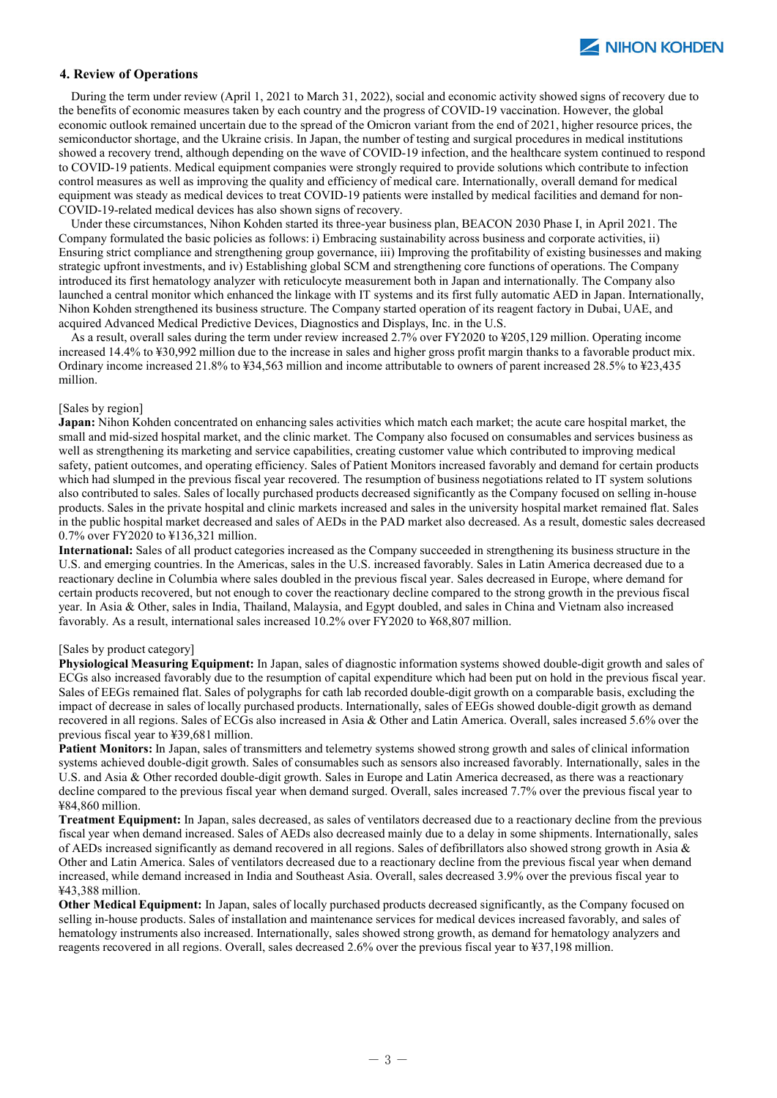#### **4. Review of Operations**

During the term under review (April 1, 2021 to March 31, 2022), social and economic activity showed signs of recovery due to the benefits of economic measures taken by each country and the progress of COVID-19 vaccination. However, the global economic outlook remained uncertain due to the spread of the Omicron variant from the end of 2021, higher resource prices, the semiconductor shortage, and the Ukraine crisis. In Japan, the number of testing and surgical procedures in medical institutions showed a recovery trend, although depending on the wave of COVID-19 infection, and the healthcare system continued to respond to COVID-19 patients. Medical equipment companies were strongly required to provide solutions which contribute to infection control measures as well as improving the quality and efficiency of medical care. Internationally, overall demand for medical equipment was steady as medical devices to treat COVID-19 patients were installed by medical facilities and demand for non-COVID-19-related medical devices has also shown signs of recovery.

Under these circumstances, Nihon Kohden started its three-year business plan, BEACON 2030 Phase I, in April 2021. The Company formulated the basic policies as follows: i) Embracing sustainability across business and corporate activities, ii) Ensuring strict compliance and strengthening group governance, iii) Improving the profitability of existing businesses and making strategic upfront investments, and iv) Establishing global SCM and strengthening core functions of operations. The Company introduced its first hematology analyzer with reticulocyte measurement both in Japan and internationally. The Company also launched a central monitor which enhanced the linkage with IT systems and its first fully automatic AED in Japan. Internationally, Nihon Kohden strengthened its business structure. The Company started operation of its reagent factory in Dubai, UAE, and acquired Advanced Medical Predictive Devices, Diagnostics and Displays, Inc. in the U.S.

As a result, overall sales during the term under review increased 2.7% over FY2020 to ¥205,129 million. Operating income increased 14.4% to ¥30,992 million due to the increase in sales and higher gross profit margin thanks to a favorable product mix. Ordinary income increased 21.8% to ¥34,563 million and income attributable to owners of parent increased 28.5% to ¥23,435 million.

#### [Sales by region]

**Japan:** Nihon Kohden concentrated on enhancing sales activities which match each market; the acute care hospital market, the small and mid-sized hospital market, and the clinic market. The Company also focused on consumables and services business as well as strengthening its marketing and service capabilities, creating customer value which contributed to improving medical safety, patient outcomes, and operating efficiency. Sales of Patient Monitors increased favorably and demand for certain products which had slumped in the previous fiscal year recovered. The resumption of business negotiations related to IT system solutions also contributed to sales. Sales of locally purchased products decreased significantly as the Company focused on selling in-house products. Sales in the private hospital and clinic markets increased and sales in the university hospital market remained flat. Sales in the public hospital market decreased and sales of AEDs in the PAD market also decreased. As a result, domestic sales decreased 0.7% over FY2020 to ¥136,321 million.

**International:** Sales of all product categories increased as the Company succeeded in strengthening its business structure in the U.S. and emerging countries. In the Americas, sales in the U.S. increased favorably. Sales in Latin America decreased due to a reactionary decline in Columbia where sales doubled in the previous fiscal year. Sales decreased in Europe, where demand for certain products recovered, but not enough to cover the reactionary decline compared to the strong growth in the previous fiscal year. In Asia & Other, sales in India, Thailand, Malaysia, and Egypt doubled, and sales in China and Vietnam also increased favorably. As a result, international sales increased 10.2% over FY2020 to ¥68,807 million.

#### [Sales by product category]

**Physiological Measuring Equipment:** In Japan, sales of diagnostic information systems showed double-digit growth and sales of ECGs also increased favorably due to the resumption of capital expenditure which had been put on hold in the previous fiscal year. Sales of EEGs remained flat. Sales of polygraphs for cath lab recorded double-digit growth on a comparable basis, excluding the impact of decrease in sales of locally purchased products. Internationally, sales of EEGs showed double-digit growth as demand recovered in all regions. Sales of ECGs also increased in Asia & Other and Latin America. Overall, sales increased 5.6% over the previous fiscal year to ¥39,681 million.

**Patient Monitors:** In Japan, sales of transmitters and telemetry systems showed strong growth and sales of clinical information systems achieved double-digit growth. Sales of consumables such as sensors also increased favorably. Internationally, sales in the U.S. and Asia & Other recorded double-digit growth. Sales in Europe and Latin America decreased, as there was a reactionary decline compared to the previous fiscal year when demand surged. Overall, sales increased 7.7% over the previous fiscal year to ¥84,860 million.

Other and Latin America. Sales of ventilators decreased due to a reactionary decline from the previous fiscal year when demand **Treatment Equipment:** In Japan, sales decreased, as sales of ventilators decreased due to a reactionary decline from the previous fiscal year when demand increased. Sales of AEDs also decreased mainly due to a delay in some shipments. Internationally, sales of AEDs increased significantly as demand recovered in all regions. Sales of defibrillators also showed strong growth in Asia & increased, while demand increased in India and Southeast Asia. Overall, sales decreased 3.9% over the previous fiscal year to ¥43,388 million.

Other Medical Equipment: In Japan, sales of locally purchased products decreased significantly, as the Company focused on selling in-house products. Sales of installation and maintenance services for medical devices increased favorably, and sales of hematology instruments also increased. Internationally, sales showed strong growth, as demand for hematology analyzers and reagents recovered in all regions. Overall, sales decreased 2.6% over the previous fiscal year to ¥37,198 million.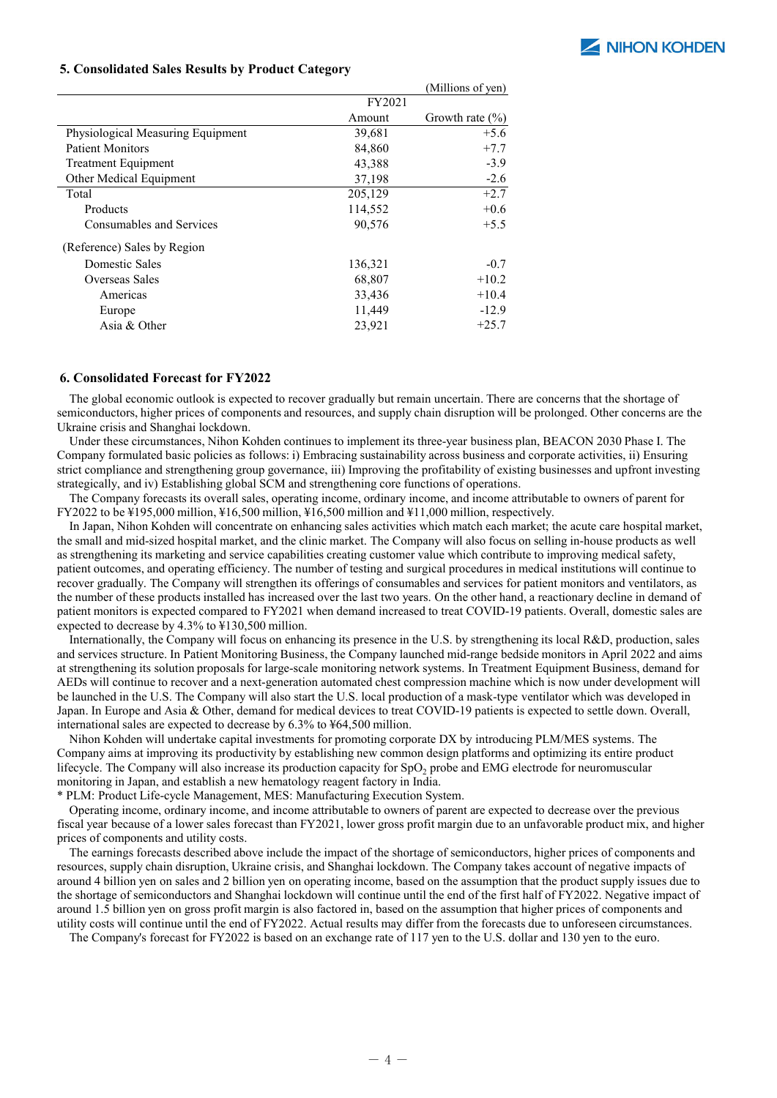

#### **5. Consolidated Sales Results by Product Category**

|                                   |         | (Millions of yen)   |
|-----------------------------------|---------|---------------------|
|                                   | FY2021  |                     |
|                                   | Amount  | Growth rate $(\% )$ |
| Physiological Measuring Equipment | 39,681  | $+5.6$              |
| <b>Patient Monitors</b>           | 84,860  | $+7.7$              |
| <b>Treatment Equipment</b>        | 43,388  | $-3.9$              |
| Other Medical Equipment           | 37,198  | $-2.6$              |
| Total                             | 205,129 | $+2.7$              |
| Products                          | 114,552 | $+0.6$              |
| Consumables and Services          | 90,576  | $+5.5$              |
| (Reference) Sales by Region       |         |                     |
| Domestic Sales                    | 136,321 | $-0.7$              |
| Overseas Sales                    | 68,807  | $+10.2$             |
| Americas                          | 33,436  | $+10.4$             |
| Europe                            | 11,449  | $-12.9$             |
| Asia $&$ Other                    | 23,921  | $+25.7$             |

#### **6. Consolidated Forecast for FY2022**

The global economic outlook is expected to recover gradually but remain uncertain. There are concerns that the shortage of semiconductors, higher prices of components and resources, and supply chain disruption will be prolonged. Other concerns are the Ukraine crisis and Shanghai lockdown.

Under these circumstances, Nihon Kohden continues to implement its three-year business plan, BEACON 2030 Phase I. The Company formulated basic policies as follows: i) Embracing sustainability across business and corporate activities, ii) Ensuring strict compliance and strengthening group governance, iii) Improving the profitability of existing businesses and upfront investing strategically, and iv) Establishing global SCM and strengthening core functions of operations.

The Company forecasts its overall sales, operating income, ordinary income, and income attributable to owners of parent for FY2022 to be  $\text{\#195,000}$  million,  $\text{\#16,500}$  million,  $\text{\#16,500}$  million and  $\text{\#11,000}$  million, respectively.

In Japan, Nihon Kohden will concentrate on enhancing sales activities which match each market; the acute care hospital market, the small and mid-sized hospital market, and the clinic market. The Company will also focus on selling in-house products as well as strengthening its marketing and service capabilities creating customer value which contribute to improving medical safety, patient outcomes, and operating efficiency. The number of testing and surgical procedures in medical institutions will continue to recover gradually. The Company will strengthen its offerings of consumables and services for patient monitors and ventilators, as the number of these products installed has increased over the last two years. On the other hand, a reactionary decline in demand of patient monitors is expected compared to FY2021 when demand increased to treat COVID-19 patients. Overall, domestic sales are expected to decrease by 4.3% to ¥130,500 million.

Internationally, the Company will focus on enhancing its presence in the U.S. by strengthening its local R&D, production, sales and services structure. In Patient Monitoring Business, the Company launched mid-range bedside monitors in April 2022 and aims at strengthening its solution proposals for large-scale monitoring network systems. In Treatment Equipment Business, demand for AEDs will continue to recover and a next-generation automated chest compression machine which is now under development will be launched in the U.S. The Company will also start the U.S. local production of a mask-type ventilator which was developed in Japan. In Europe and Asia & Other, demand for medical devices to treat COVID-19 patients is expected to settle down. Overall, international sales are expected to decrease by 6.3% to ¥64,500 million.

Nihon Kohden will undertake capital investments for promoting corporate DX by introducing PLM/MES systems. The Company aims at improving its productivity by establishing new common design platforms and optimizing its entire product lifecycle. The Company will also increase its production capacity for SpO<sub>2</sub> probe and EMG electrode for neuromuscular monitoring in Japan, and establish a new hematology reagent factory in India.

\* PLM: Product Life-cycle Management, MES: Manufacturing Execution System.

Operating income, ordinary income, and income attributable to owners of parent are expected to decrease over the previous fiscal year because of a lower sales forecast than FY2021, lower gross profit margin due to an unfavorable product mix, and higher prices of components and utility costs.

The earnings forecasts described above include the impact of the shortage of semiconductors, higher prices of components and resources, supply chain disruption, Ukraine crisis, and Shanghai lockdown. The Company takes account of negative impacts of around 4 billion yen on sales and 2 billion yen on operating income, based on the assumption that the product supply issues due to the shortage of semiconductors and Shanghai lockdown will continue until the end of the first half of FY2022. Negative impact of around 1.5 billion yen on gross profit margin is also factored in, based on the assumption that higher prices of components and utility costs will continue until the end of FY2022. Actual results may differ from the forecasts due to unforeseen circumstances.

The Company's forecast for FY2022 is based on an exchange rate of 117 yen to the U.S. dollar and 130 yen to the euro.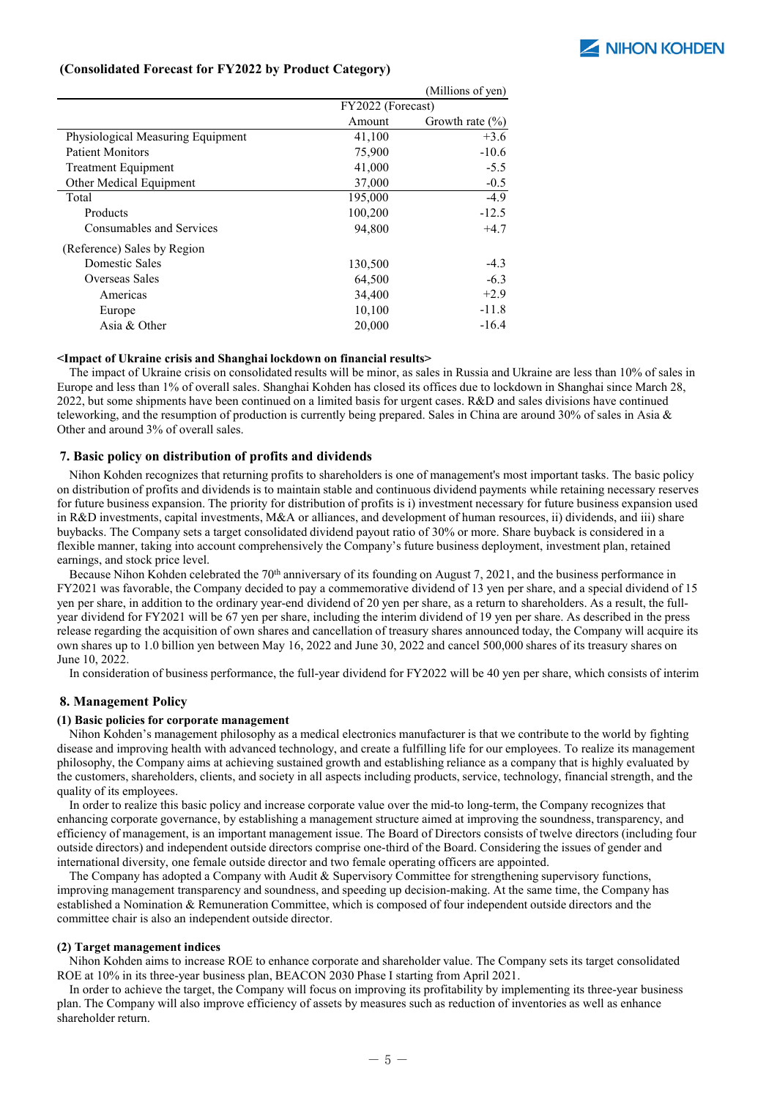

### **(Consolidated Forecast for FY2022 by Product Category)**

|                                   |                   | (Millions of yen)   |
|-----------------------------------|-------------------|---------------------|
|                                   | FY2022 (Forecast) |                     |
|                                   | Amount            | Growth rate $(\% )$ |
| Physiological Measuring Equipment | 41,100            | $+3.6$              |
| <b>Patient Monitors</b>           | 75,900            | $-10.6$             |
| <b>Treatment Equipment</b>        | 41,000            | $-5.5$              |
| Other Medical Equipment           | 37,000            | $-0.5$              |
| Total                             | 195,000           | $-4.9$              |
| Products                          | 100,200           | $-12.5$             |
| Consumables and Services          | 94,800            | $+4.7$              |
| (Reference) Sales by Region       |                   |                     |
| Domestic Sales                    | 130,500           | $-4.3$              |
| Overseas Sales                    | 64,500            | $-6.3$              |
| Americas                          | 34,400            | $+2.9$              |
| Europe                            | 10,100            | $-11.8$             |
| Asia & Other                      | 20,000            | $-16.4$             |

#### **<Impact of Ukraine crisis and Shanghai lockdown on financial results>**

The impact of Ukraine crisis on consolidated results will be minor, as sales in Russia and Ukraine are less than 10% of sales in Europe and less than 1% of overall sales. Shanghai Kohden has closed its offices due to lockdown in Shanghai since March 28, 2022, but some shipments have been continued on a limited basis for urgent cases. R&D and sales divisions have continued teleworking, and the resumption of production is currently being prepared. Sales in China are around 30% of sales in Asia & Other and around 3% of overall sales.

#### **7. Basic policy on distribution of profits and dividends**

Nihon Kohden recognizes that returning profits to shareholders is one of management's most important tasks. The basic policy on distribution of profits and dividends is to maintain stable and continuous dividend payments while retaining necessary reserves for future business expansion. The priority for distribution of profits is i) investment necessary for future business expansion used in R&D investments, capital investments, M&A or alliances, and development of human resources, ii) dividends, and iii) share buybacks. The Company sets a target consolidated dividend payout ratio of 30% or more. Share buyback is considered in a flexible manner, taking into account comprehensively the Company's future business deployment, investment plan, retained earnings, and stock price level.

Because Nihon Kohden celebrated the 70<sup>th</sup> anniversary of its founding on August 7, 2021, and the business performance in FY2021 was favorable, the Company decided to pay a commemorative dividend of 13 yen per share, and a special dividend of 15 yen per share, in addition to the ordinary year-end dividend of 20 yen per share, as a return to shareholders. As a result, the fullyear dividend for FY2021 will be 67 yen per share, including the interim dividend of 19 yen per share. As described in the press release regarding the acquisition of own shares and cancellation of treasury shares announced today, the Company will acquire its own shares up to 1.0 billion yen between May 16, 2022 and June 30, 2022 and cancel 500,000 shares of its treasury shares on June 10, 2022.

In consideration of business performance, the full-year dividend for FY2022 will be 40 yen per share, which consists of interim

#### **8. Management Policy**

#### **(1) Basic policies for corporate management**

Nihon Kohden's management philosophy as a medical electronics manufacturer is that we contribute to the world by fighting disease and improving health with advanced technology, and create a fulfilling life for our employees. To realize its management philosophy, the Company aims at achieving sustained growth and establishing reliance as a company that is highly evaluated by the customers, shareholders, clients, and society in all aspects including products, service, technology, financial strength, and the quality of its employees.

enhancing corporate governance, by establishing a management structure aimed at improving the soundness, transparency, and international diversity, one female outside director and two female operating officers are appointed. In order to realize this basic policy and increase corporate value over the mid-to long-term, the Company recognizes that efficiency of management, is an important management issue. The Board of Directors consists of twelve directors (including four outside directors) and independent outside directors comprise one-third of the Board. Considering the issues of gender and

The Company has adopted a Company with Audit & Supervisory Committee for strengthening supervisory functions, improving management transparency and soundness, and speeding up decision-making. At the same time, the Company has established a Nomination & Remuneration Committee, which is composed of four independent outside directors and the committee chair is also an independent outside director.

#### **(2) Target management indices**

Nihon Kohden aims to increase ROE to enhance corporate and shareholder value. The Company sets its target consolidated ROE at 10% in its three-year business plan, BEACON 2030 Phase I starting from April 2021.

In order to achieve the target, the Company will focus on improving its profitability by implementing its three-year business plan. The Company will also improve efficiency of assets by measures such as reduction of inventories as well as enhance shareholder return.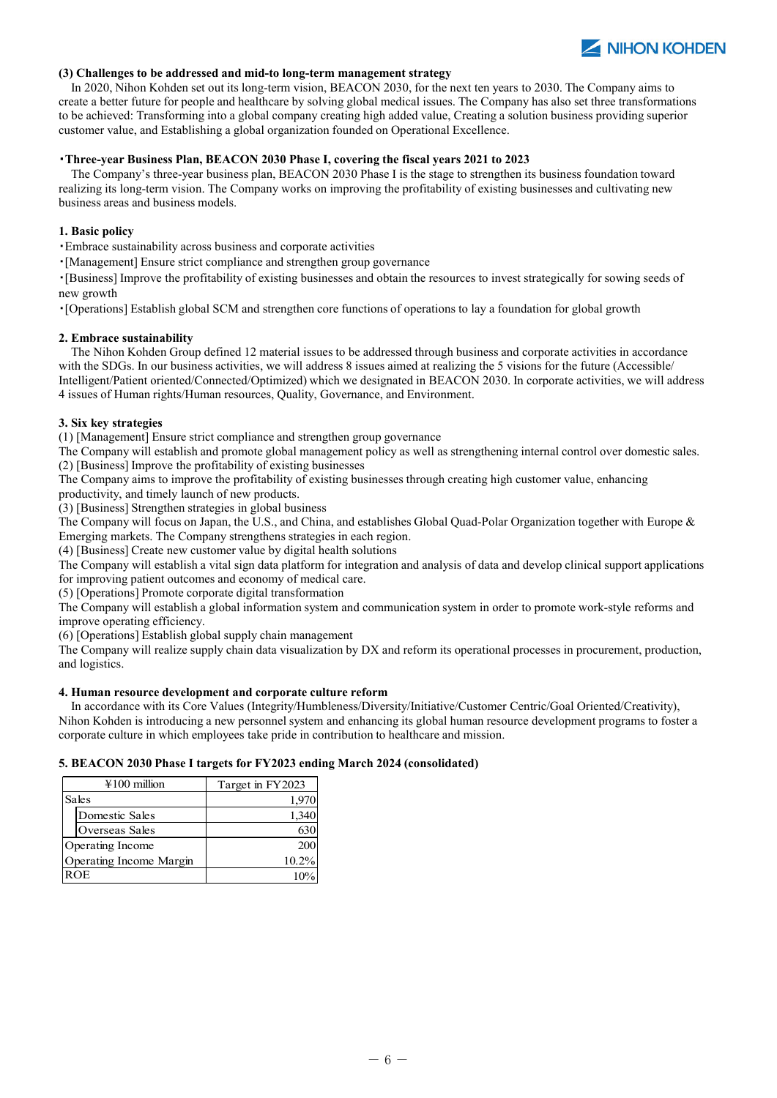

#### **(3) Challenges to be addressed and mid-to long-term management strategy**

In 2020, Nihon Kohden set out its long-term vision, BEACON 2030, for the next ten years to 2030. The Company aims to create a better future for people and healthcare by solving global medical issues. The Company has also set three transformations to be achieved: Transforming into a global company creating high added value, Creating a solution business providing superior customer value, and Establishing a global organization founded on Operational Excellence.

#### ・**Three-year Business Plan, BEACON 2030 Phase I, covering the fiscal years 2021 to 2023**

The Company's three-year business plan, BEACON 2030 Phase I is the stage to strengthen its business foundation toward realizing its long-term vision. The Company works on improving the profitability of existing businesses and cultivating new business areas and business models.

#### **1. Basic policy**

・Embrace sustainability across business and corporate activities

・[Management] Ensure strict compliance and strengthen group governance

・[Business] Improve the profitability of existing businesses and obtain the resources to invest strategically for sowing seeds of new growth

・[Operations] Establish global SCM and strengthen core functions of operations to lay a foundation for global growth

#### **2. Embrace sustainability**

The Nihon Kohden Group defined 12 material issues to be addressed through business and corporate activities in accordance with the SDGs. In our business activities, we will address 8 issues aimed at realizing the 5 visions for the future (Accessible/ Intelligent/Patient oriented/Connected/Optimized) which we designated in BEACON 2030. In corporate activities, we will address 4 issues of Human rights/Human resources, Quality, Governance, and Environment.

#### **3. Six key strategies**

(1) [Management] Ensure strict compliance and strengthen group governance

The Company will establish and promote global management policy as well as strengthening internal control over domestic sales. (2) [Business] Improve the profitability of existing businesses

The Company aims to improve the profitability of existing businesses through creating high customer value, enhancing productivity, and timely launch of new products.

(3) [Business] Strengthen strategies in global business

The Company will focus on Japan, the U.S., and China, and establishes Global Quad-Polar Organization together with Europe & Emerging markets. The Company strengthens strategies in each region.

(4) [Business] Create new customer value by digital health solutions

The Company will establish a vital sign data platform for integration and analysis of data and develop clinical support applications for improving patient outcomes and economy of medical care.

(5) [Operations] Promote corporate digital transformation

The Company will establish a global information system and communication system in order to promote work-style reforms and improve operating efficiency.

(6) [Operations] Establish global supply chain management

(b) [Operations] Establish globar supply chain management<br>The Company will realize supply chain data visualization by DX and reform its operational processes in procurement, production, and logistics.

#### **4. Human resource development and corporate culture reform**

In accordance with its Core Values (Integrity/Humbleness/Diversity/Initiative/Customer Centric/Goal Oriented/Creativity), Nihon Kohden is introducing a new personnel system and enhancing its global human resource development programs to foster a corporate culture in which employees take pride in contribution to healthcare and mission.

#### **5. BEACON 2030 Phase I targets for FY2023 ending March 2024 (consolidated)**

| $\text{\#}100$ million  | Target in FY2023 |
|-------------------------|------------------|
| Sales                   | 1,970            |
| Domestic Sales          | 1,340            |
| Overseas Sales          | 630              |
| Operating Income        | 200              |
| Operating Income Margin | 10.2%            |
| <b>ROE</b>              |                  |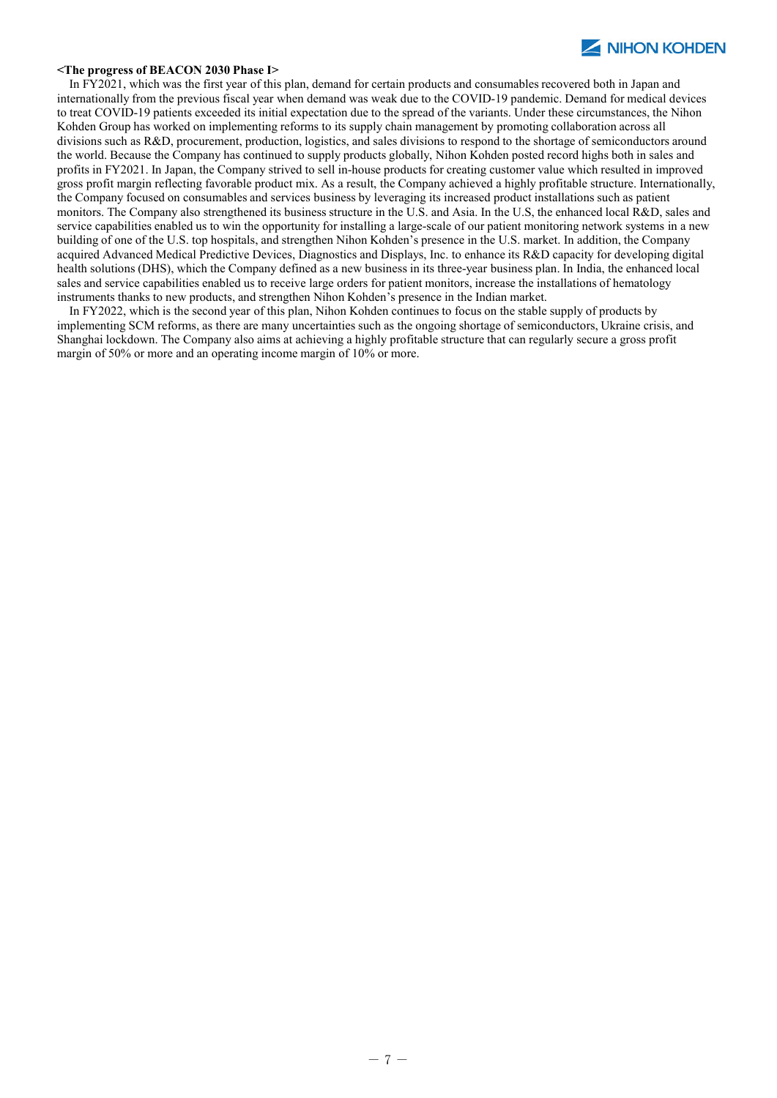#### **<The progress of BEACON 2030 Phase I>**

In FY2021, which was the first year of this plan, demand for certain products and consumables recovered both in Japan and internationally from the previous fiscal year when demand was weak due to the COVID-19 pandemic. Demand for medical devices to treat COVID-19 patients exceeded its initial expectation due to the spread of the variants. Under these circumstances, the Nihon Kohden Group has worked on implementing reforms to its supply chain management by promoting collaboration across all divisions such as R&D, procurement, production, logistics, and sales divisions to respond to the shortage of semiconductors around the world. Because the Company has continued to supply products globally, Nihon Kohden posted record highs both in sales and profits in FY2021. In Japan, the Company strived to sell in-house products for creating customer value which resulted in improved gross profit margin reflecting favorable product mix. As a result, the Company achieved a highly profitable structure. Internationally, the Company focused on consumables and services business by leveraging its increased product installations such as patient monitors. The Company also strengthened its business structure in the U.S. and Asia. In the U.S, the enhanced local R&D, sales and service capabilities enabled us to win the opportunity for installing a large-scale of our patient monitoring network systems in a new building of one of the U.S. top hospitals, and strengthen Nihon Kohden's presence in the U.S. market. In addition, the Company acquired Advanced Medical Predictive Devices, Diagnostics and Displays, Inc. to enhance its R&D capacity for developing digital health solutions (DHS), which the Company defined as a new business in its three-year business plan. In India, the enhanced local sales and service capabilities enabled us to receive large orders for patient monitors, increase the installations of hematology instruments thanks to new products, and strengthen Nihon Kohden's presence in the Indian market.

In FY2022, which is the second year of this plan, Nihon Kohden continues to focus on the stable supply of products by implementing SCM reforms, as there are many uncertainties such as the ongoing shortage of semiconductors, Ukraine crisis, and Shanghai lockdown. The Company also aims at achieving a highly profitable structure that can regularly secure a gross profit margin of 50% or more and an operating income margin of 10% or more.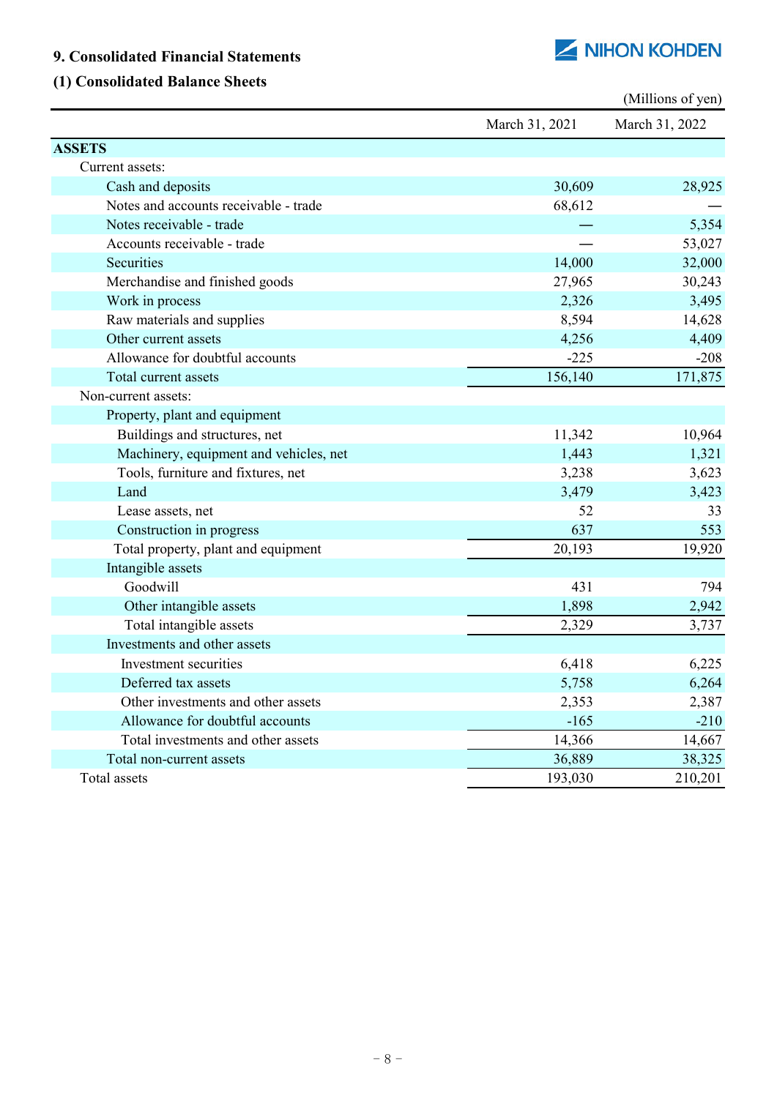# **9. Consolidated Financial Statements**

# **(1) Consolidated Balance Sheets**

|                                        |                | (Millions of yen) |
|----------------------------------------|----------------|-------------------|
|                                        | March 31, 2021 | March 31, 2022    |
| <b>ASSETS</b>                          |                |                   |
| Current assets:                        |                |                   |
| Cash and deposits                      | 30,609         | 28,925            |
| Notes and accounts receivable - trade  | 68,612         |                   |
| Notes receivable - trade               |                | 5,354             |
| Accounts receivable - trade            |                | 53,027            |
| Securities                             | 14,000         | 32,000            |
| Merchandise and finished goods         | 27,965         | 30,243            |
| Work in process                        | 2,326          | 3,495             |
| Raw materials and supplies             | 8,594          | 14,628            |
| Other current assets                   | 4,256          | 4,409             |
| Allowance for doubtful accounts        | $-225$         | $-208$            |
| Total current assets                   | 156,140        | 171,875           |
| Non-current assets:                    |                |                   |
| Property, plant and equipment          |                |                   |
| Buildings and structures, net          | 11,342         | 10,964            |
| Machinery, equipment and vehicles, net | 1,443          | 1,321             |
| Tools, furniture and fixtures, net     | 3,238          | 3,623             |
| Land                                   | 3,479          | 3,423             |
| Lease assets, net                      | 52             | 33                |
| Construction in progress               | 637            | 553               |
| Total property, plant and equipment    | 20,193         | 19,920            |
| Intangible assets                      |                |                   |
| Goodwill                               | 431            | 794               |
| Other intangible assets                | 1,898          | 2,942             |
| Total intangible assets                | 2,329          | 3,737             |
| Investments and other assets           |                |                   |
| Investment securities                  | 6,418          | 6,225             |
| Deferred tax assets                    | 5,758          | 6,264             |
| Other investments and other assets     | 2,353          | 2,387             |
| Allowance for doubtful accounts        | $-165$         | $-210$            |
| Total investments and other assets     | 14,366         | 14,667            |
| Total non-current assets               | 36,889         | 38,325            |
| Total assets                           | 193,030        | 210,201           |

NIHON KOHDEN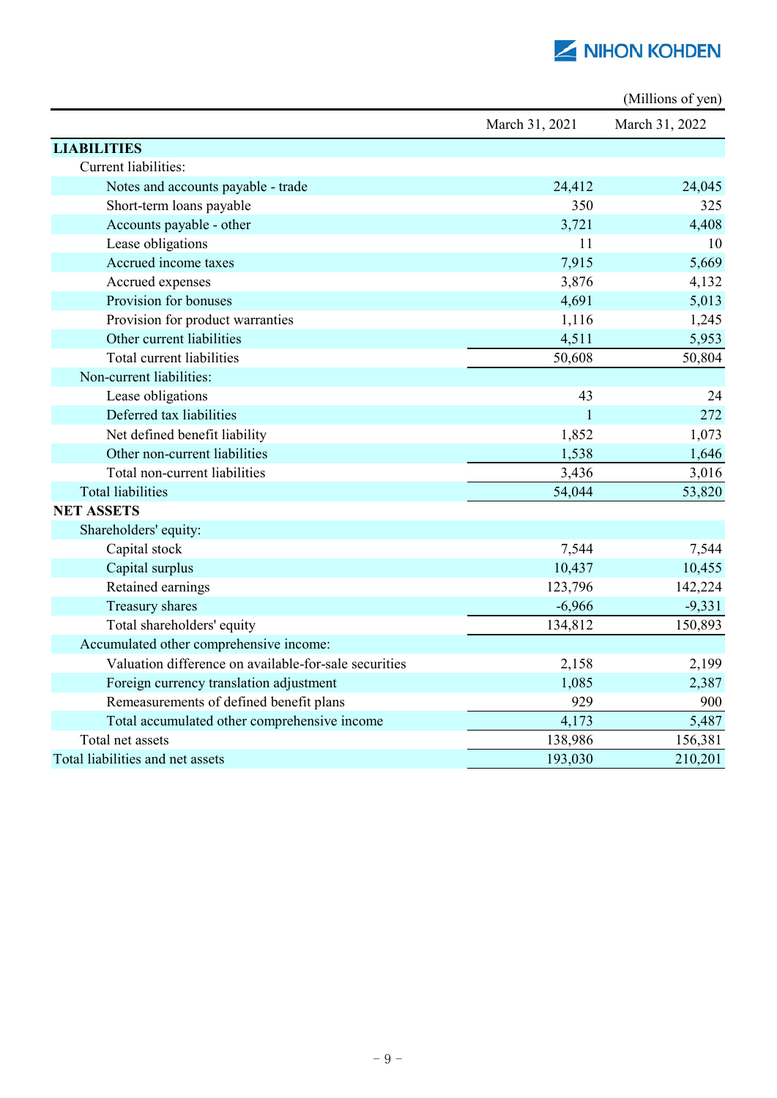

|                                                       |                | (Millions of yen) |
|-------------------------------------------------------|----------------|-------------------|
|                                                       | March 31, 2021 | March 31, 2022    |
| <b>LIABILITIES</b>                                    |                |                   |
| Current liabilities:                                  |                |                   |
| Notes and accounts payable - trade                    | 24,412         | 24,045            |
| Short-term loans payable                              | 350            | 325               |
| Accounts payable - other                              | 3,721          | 4,408             |
| Lease obligations                                     | 11             | 10                |
| Accrued income taxes                                  | 7,915          | 5,669             |
| Accrued expenses                                      | 3,876          | 4,132             |
| Provision for bonuses                                 | 4,691          | 5,013             |
| Provision for product warranties                      | 1,116          | 1,245             |
| Other current liabilities                             | 4,511          | 5,953             |
| Total current liabilities                             | 50,608         | 50,804            |
| Non-current liabilities:                              |                |                   |
| Lease obligations                                     | 43             | 24                |
| Deferred tax liabilities                              | $\mathbf{1}$   | 272               |
| Net defined benefit liability                         | 1,852          | 1,073             |
| Other non-current liabilities                         | 1,538          | 1,646             |
| Total non-current liabilities                         | 3,436          | 3,016             |
| <b>Total liabilities</b>                              | 54,044         | 53,820            |
| <b>NET ASSETS</b>                                     |                |                   |
| Shareholders' equity:                                 |                |                   |
| Capital stock                                         | 7,544          | 7,544             |
| Capital surplus                                       | 10,437         | 10,455            |
| Retained earnings                                     | 123,796        | 142,224           |
| Treasury shares                                       | $-6,966$       | $-9,331$          |
| Total shareholders' equity                            | 134,812        | 150,893           |
| Accumulated other comprehensive income:               |                |                   |
| Valuation difference on available-for-sale securities | 2,158          | 2,199             |
| Foreign currency translation adjustment               | 1,085          | 2,387             |
| Remeasurements of defined benefit plans               | 929            | 900               |
| Total accumulated other comprehensive income          | 4,173          | 5,487             |
| Total net assets                                      | 138,986        | 156,381           |
| Total liabilities and net assets                      | 193,030        | 210,201           |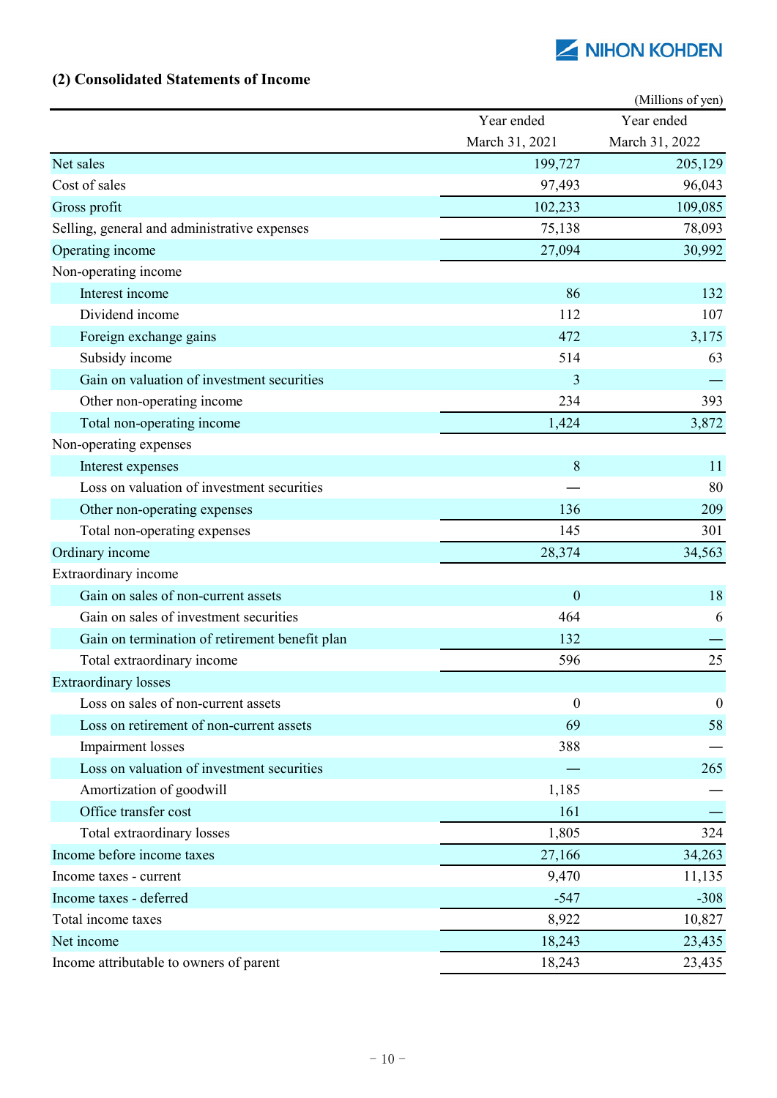# **(2) Consolidated Statements of Income**

|                                                |                  | (Millions of yen) |
|------------------------------------------------|------------------|-------------------|
|                                                | Year ended       | Year ended        |
|                                                | March 31, 2021   | March 31, 2022    |
| Net sales                                      | 199,727          | 205,129           |
| Cost of sales                                  | 97,493           | 96,043            |
| Gross profit                                   | 102,233          | 109,085           |
| Selling, general and administrative expenses   | 75,138           | 78,093            |
| Operating income                               | 27,094           | 30,992            |
| Non-operating income                           |                  |                   |
| Interest income                                | 86               | 132               |
| Dividend income                                | 112              | 107               |
| Foreign exchange gains                         | 472              | 3,175             |
| Subsidy income                                 | 514              | 63                |
| Gain on valuation of investment securities     | 3                |                   |
| Other non-operating income                     | 234              | 393               |
| Total non-operating income                     | 1,424            | 3,872             |
| Non-operating expenses                         |                  |                   |
| Interest expenses                              | 8                | 11                |
| Loss on valuation of investment securities     |                  | 80                |
| Other non-operating expenses                   | 136              | 209               |
| Total non-operating expenses                   | 145              | 301               |
| Ordinary income                                | 28,374           | 34,563            |
| Extraordinary income                           |                  |                   |
| Gain on sales of non-current assets            | $\boldsymbol{0}$ | 18                |
| Gain on sales of investment securities         | 464              | 6                 |
| Gain on termination of retirement benefit plan | 132              |                   |
| Total extraordinary income                     | 596              | 25                |
| <b>Extraordinary losses</b>                    |                  |                   |
| Loss on sales of non-current assets            | $\boldsymbol{0}$ | $\boldsymbol{0}$  |
| Loss on retirement of non-current assets       | 69               | 58                |
| <b>Impairment</b> losses                       | 388              |                   |
| Loss on valuation of investment securities     |                  | 265               |
| Amortization of goodwill                       | 1,185            |                   |
| Office transfer cost                           | 161              |                   |
| Total extraordinary losses                     | 1,805            | 324               |
| Income before income taxes                     | 27,166           | 34,263            |
| Income taxes - current                         | 9,470            | 11,135            |
| Income taxes - deferred                        | $-547$           | $-308$            |
| Total income taxes                             | 8,922            | 10,827            |
| Net income                                     | 18,243           | 23,435            |
| Income attributable to owners of parent        | 18,243           | 23,435            |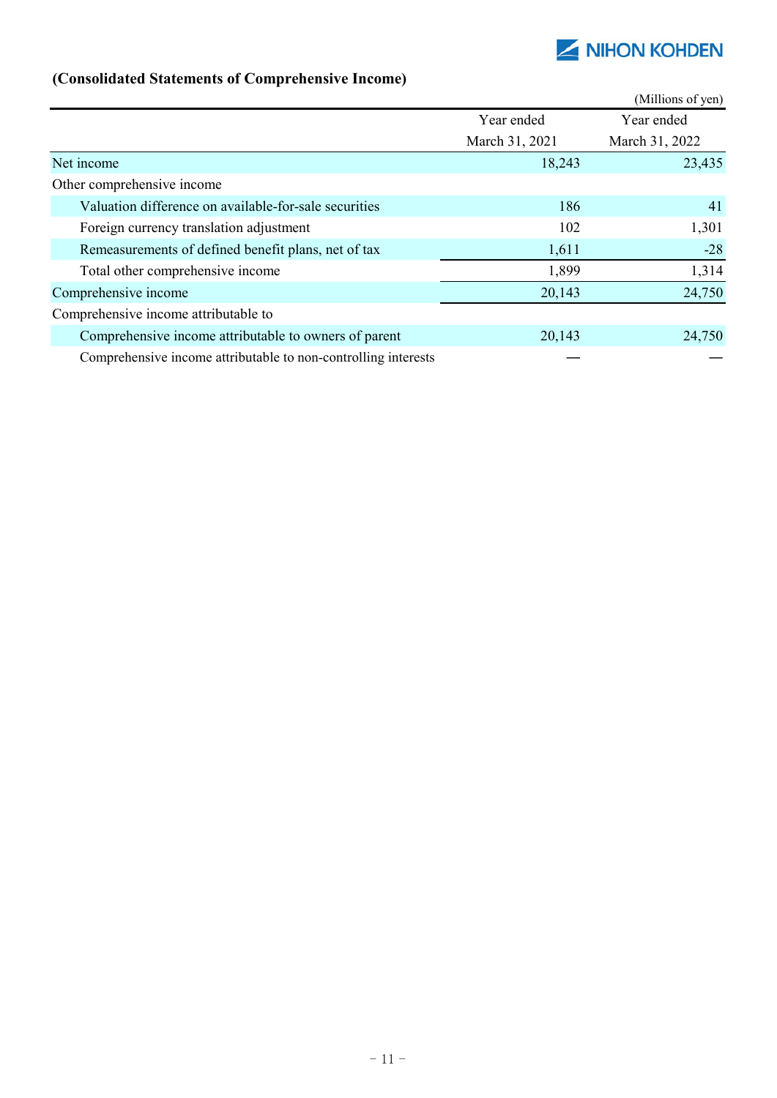| (Consolidated Statements of Comprenensive Income)              |                |                   |
|----------------------------------------------------------------|----------------|-------------------|
|                                                                |                | (Millions of yen) |
|                                                                | Year ended     | Year ended        |
|                                                                | March 31, 2021 | March 31, 2022    |
| Net income                                                     | 18,243         | 23,435            |
| Other comprehensive income                                     |                |                   |
| Valuation difference on available-for-sale securities          | 186            | 41                |
| Foreign currency translation adjustment                        | 102            | 1,301             |
| Remeasurements of defined benefit plans, net of tax            | 1,611          | $-28$             |
| Total other comprehensive income                               | 1,899          | 1,314             |
| Comprehensive income                                           | 20,143         | 24,750            |
| Comprehensive income attributable to                           |                |                   |
| Comprehensive income attributable to owners of parent          | 20,143         | 24,750            |
| Comprehensive income attributable to non-controlling interests |                |                   |

# **(Consolidated Statements of Comprehensive Income)**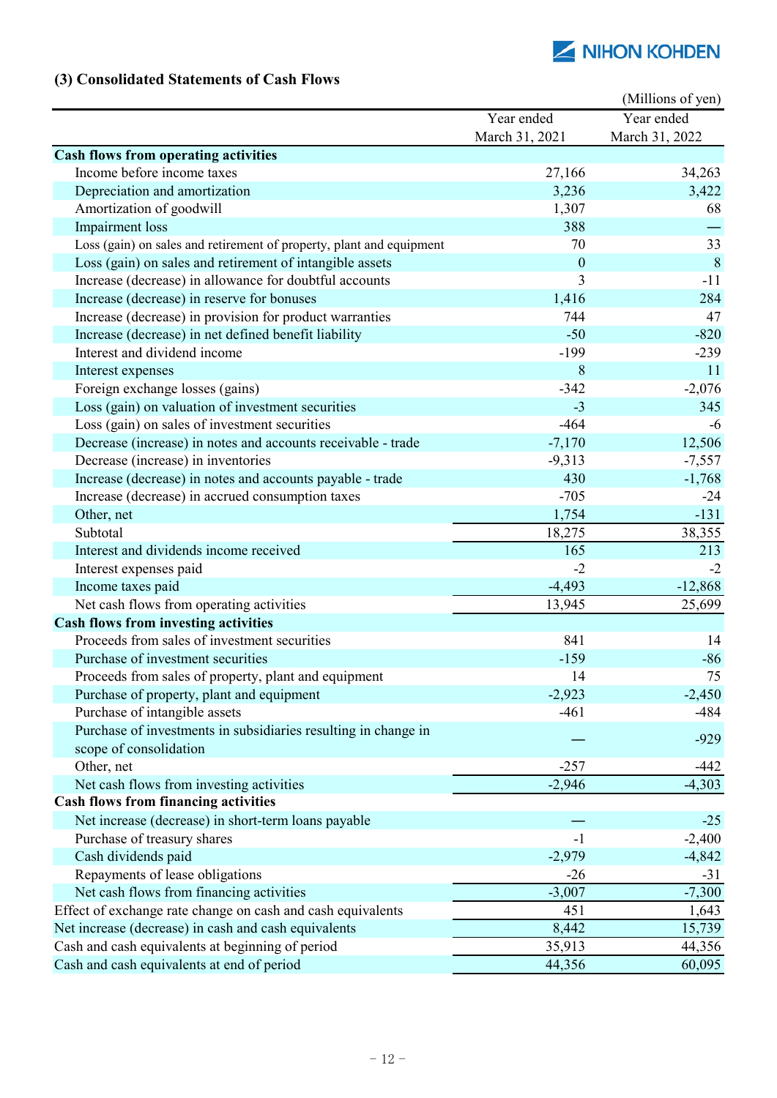# **(3) Consolidated Statements of Cash Flows**

|                                                                      |                | (Millions of yen) |
|----------------------------------------------------------------------|----------------|-------------------|
|                                                                      | Year ended     | Year ended        |
|                                                                      | March 31, 2021 | March 31, 2022    |
| <b>Cash flows from operating activities</b>                          |                |                   |
| Income before income taxes                                           | 27,166         | 34,263            |
| Depreciation and amortization                                        | 3,236          | 3,422             |
| Amortization of goodwill                                             | 1,307          | 68                |
| <b>Impairment</b> loss                                               | 388            |                   |
| Loss (gain) on sales and retirement of property, plant and equipment | 70             | 33                |
| Loss (gain) on sales and retirement of intangible assets             | $\mathbf{0}$   | 8                 |
| Increase (decrease) in allowance for doubtful accounts               | 3              | $-11$             |
| Increase (decrease) in reserve for bonuses                           | 1,416          | 284               |
| Increase (decrease) in provision for product warranties              | 744            | 47                |
| Increase (decrease) in net defined benefit liability                 | $-50$          | $-820$            |
| Interest and dividend income                                         | $-199$         | $-239$            |
| Interest expenses                                                    | 8              | 11                |
| Foreign exchange losses (gains)                                      | $-342$         | $-2,076$          |
| Loss (gain) on valuation of investment securities                    | $-3$           | 345               |
| Loss (gain) on sales of investment securities                        | $-464$         | -6                |
| Decrease (increase) in notes and accounts receivable - trade         | $-7,170$       | 12,506            |
| Decrease (increase) in inventories                                   | $-9,313$       | $-7,557$          |
| Increase (decrease) in notes and accounts payable - trade            | 430            | $-1,768$          |
| Increase (decrease) in accrued consumption taxes                     | $-705$         | $-24$             |
| Other, net                                                           | 1,754          | $-131$            |
| Subtotal                                                             | 18,275         | 38,355            |
| Interest and dividends income received                               | 165            | 213               |
| Interest expenses paid                                               | $-2$           | $-2$              |
| Income taxes paid                                                    | $-4,493$       | $-12,868$         |
| Net cash flows from operating activities                             | 13,945         | 25,699            |
| <b>Cash flows from investing activities</b>                          |                |                   |
| Proceeds from sales of investment securities                         | 841            | 14                |
| Purchase of investment securities                                    | $-159$         | $-86$             |
| Proceeds from sales of property, plant and equipment                 | 14             | 75                |
| Purchase of property, plant and equipment                            | $-2,923$       | $-2,450$          |
| Purchase of intangible assets                                        | $-461$         | -484              |
| Purchase of investments in subsidiaries resulting in change in       |                |                   |
| scope of consolidation                                               |                | $-929$            |
| Other, net                                                           | $-257$         | -442              |
| Net cash flows from investing activities                             | $-2,946$       | $-4,303$          |
| <b>Cash flows from financing activities</b>                          |                |                   |
| Net increase (decrease) in short-term loans payable                  |                | $-25$             |
| Purchase of treasury shares                                          | $-1$           | $-2,400$          |
| Cash dividends paid                                                  | $-2,979$       | $-4,842$          |
| Repayments of lease obligations                                      | $-26$          | $-31$             |
| Net cash flows from financing activities                             | $-3,007$       | $-7,300$          |
| Effect of exchange rate change on cash and cash equivalents          | 451            | 1,643             |
| Net increase (decrease) in cash and cash equivalents                 | 8,442          | 15,739            |
| Cash and cash equivalents at beginning of period                     | 35,913         | 44,356            |
| Cash and cash equivalents at end of period                           | 44,356         | 60,095            |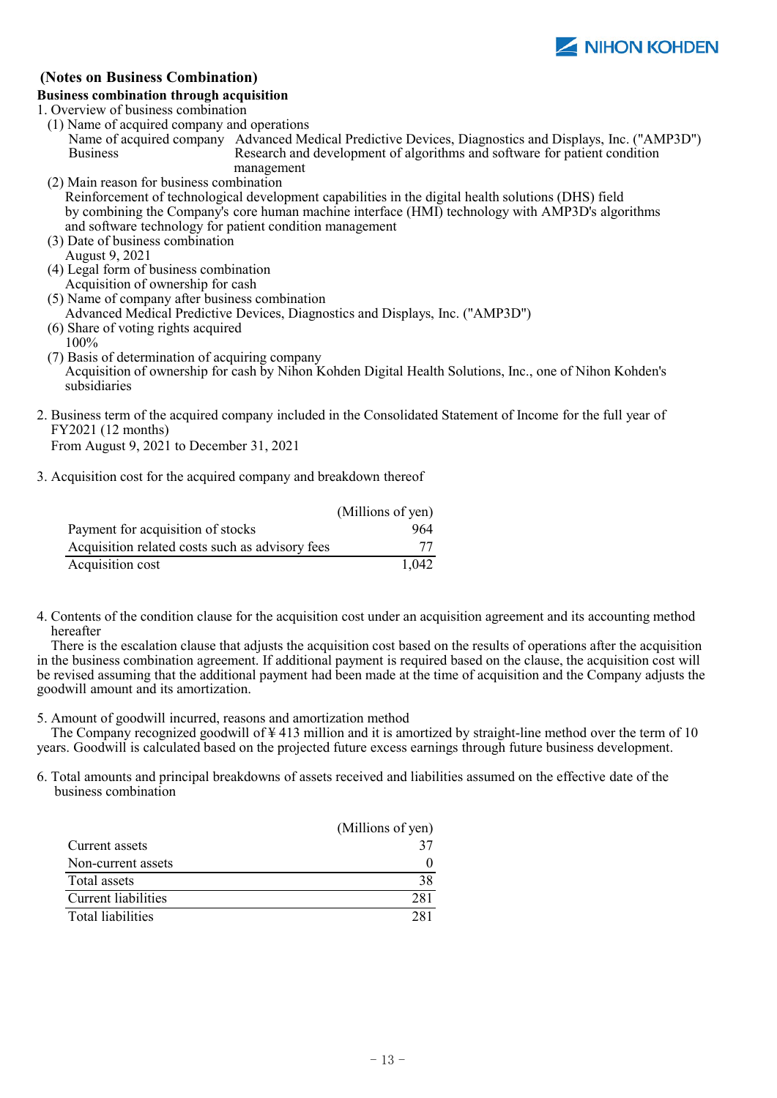

## **(Notes on Business Combination)**

## **Business combination through acquisition**

1. Overview of business combination

- (1) Name of acquired company and operations Name of acquired company Advanced Medical Predictive Devices, Diagnostics and Displays, Inc. ("AMP3D") Business Research and development of algorithms and software for patient condition management
- (2) Main reason for business combination Reinforcement of technological development capabilities in the digital health solutions (DHS) field by combining the Company's core human machine interface (HMI) technology with AMP3D's algorithms and software technology for patient condition management
- (3) Date of business combination August 9, 2021
- (4) Legal form of business combination Acquisition of ownership for cash
- (5) Name of company after business combination
- Advanced Medical Predictive Devices, Diagnostics and Displays, Inc. ("AMP3D") (6) Share of voting rights acquired
- 100%
- (7) Basis of determination of acquiring company Acquisition of ownership for cash by Nihon Kohden Digital Health Solutions, Inc., one of Nihon Kohden's subsidiaries
- 2. Business term of the acquired company included in the Consolidated Statement of Income for the full year of FY2021 (12 months)

From August 9, 2021 to December 31, 2021

3. Acquisition cost for the acquired company and breakdown thereof

|                                                 | (Millions of yen) |
|-------------------------------------------------|-------------------|
| Payment for acquisition of stocks               | 964               |
| Acquisition related costs such as advisory fees | 77                |
| Acquisition cost                                | 1.042             |

4. Contents of the condition clause for the acquisition cost under an acquisition agreement and its accounting method hereafter

There is the escalation clause that adjusts the acquisition cost based on the results of operations after the acquisition in the business combination agreement. If additional payment is required based on the clause, the acquisition cost will be revised assuming that the additional payment had been made at the time of acquisition and the Company adjusts the goodwill amount and its amortization.

5. Amount of goodwill incurred, reasons and amortization method

The Company recognized goodwill of  $\frac{1}{2}$  413 million and it is amortized by straight-line method over the term of 10 years. Goodwill is calculated based on the projected future excess earnings through future business development.

6. Total amounts and principal breakdowns of assets received and liabilities assumed on the effective date of the business combination

|                     | (Millions of yen) |
|---------------------|-------------------|
| Current assets      |                   |
| Non-current assets  |                   |
| Total assets        | 38                |
| Current liabilities | 281               |
| Total liabilities   |                   |